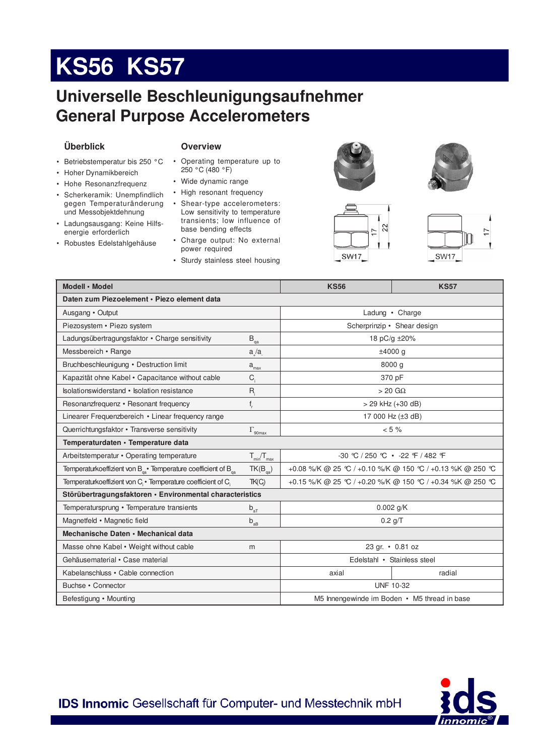# **KS56 KS57**

# **Universelle Beschleunigungsaufnehmer General Purpose Accelerometers**

#### **Überblick**

#### **Overview**

- Betriebstemperatur bis 250 °C
- Hoher Dynamikbereich
- Hohe Resonanzfrequenz
- Scherkeramik: Unempfindlich gegen Temperaturänderung und Messobjektdehnung
- Ladungsausgang: Keine Hilfsenergie erforderlich
- Robustes Edelstahlgehäuse
- Operating temperature up to 250 °C (480 °F)
- Wide dynamic range
- High resonant frequency
- Shear-type accelerometers: Low sensitivity to temperature transients; low influence of base bending effects
- Charge output: No external power required
- Sturdy stainless steel housing



SW17





**SW17** 

| Modell · Model                                                                       |                       | <b>KS56</b>                                             | <b>KS57</b>                 |  |
|--------------------------------------------------------------------------------------|-----------------------|---------------------------------------------------------|-----------------------------|--|
| Daten zum Piezoelement · Piezo element data                                          |                       |                                                         |                             |  |
| Ausgang • Output                                                                     |                       | Ladung • Charge                                         |                             |  |
| Piezosystem · Piezo system                                                           |                       |                                                         | Scherprinzip • Shear design |  |
| Ladungsübertragungsfaktor • Charge sensitivity                                       | $\mathsf{B}_{\rm qa}$ | 18 pC/g ±20%                                            |                             |  |
| Messbereich • Range                                                                  | a/a                   | ±4000 g                                                 |                             |  |
| Bruchbeschleunigung • Destruction limit                                              | $a_{\text{max}}$      | 8000 g                                                  |                             |  |
| Kapazität ohne Kabel • Capacitance without cable                                     | $C_i$                 | 370 pF                                                  |                             |  |
| Isolationswiderstand • Isolation resistance                                          | $R_i$                 | $> 20$ G $\Omega$                                       |                             |  |
| Resonanzfrequenz • Resonant frequency                                                | $f_r$                 | > 29 kHz (+30 dB)                                       |                             |  |
| Linearer Frequenzbereich • Linear frequency range                                    |                       | 17 000 Hz (±3 dB)                                       |                             |  |
| Querrichtungsfaktor • Transverse sensitivity                                         | $\Gamma_{\rm 90max}$  | $< 5 \%$                                                |                             |  |
| Temperaturdaten · Temperature data                                                   |                       |                                                         |                             |  |
| Arbeitstemperatur • Operating temperature                                            | $T_{min}/T_{max}$     | -30 ℃ / 250 ℃ • -22 F / 482 F                           |                             |  |
| Temperaturkoeffizient von $B_{\alpha}$ Temperature coefficient of $B_{\alpha}$       | $TK(B_{\text{ca}})$   | +0.08 %/K @ 25 ℃ / +0.10 %/K @ 150 ℃ / +0.13 %K @ 250 ℃ |                             |  |
| Temperaturkoeffizient von C <sub>i</sub> · Temperature coefficient of C <sub>i</sub> | TK(C)                 | +0.15 %/K @ 25 ℃ / +0.20 %/K @ 150 ℃ / +0.34 %K @ 250 ℃ |                             |  |
| Störübertragungsfaktoren · Environmental characteristics                             |                       |                                                         |                             |  |
| Temperatursprung • Temperature transients                                            | $b_{aT}$              | $0.002$ g/K                                             |                             |  |
| Magnetfeld • Magnetic field                                                          | $b_{AB}$              | $0.2$ g/T                                               |                             |  |
| Mechanische Daten • Mechanical data                                                  |                       |                                                         |                             |  |
| Masse ohne Kabel • Weight without cable                                              | m                     | 23 gr. • 0.81 oz                                        |                             |  |
| Gehäusematerial • Case material                                                      |                       | Edelstahl • Stainless steel                             |                             |  |
| Kabelanschluss • Cable connection                                                    |                       | axial                                                   | radial                      |  |
| Buchse • Connector                                                                   |                       | <b>UNF 10-32</b>                                        |                             |  |
| Befestigung • Mounting                                                               |                       | M5 Innengewinde im Boden • M5 thread in base            |                             |  |



IDS Innomic Gesellschaft für Computer- und Messtechnik mbH